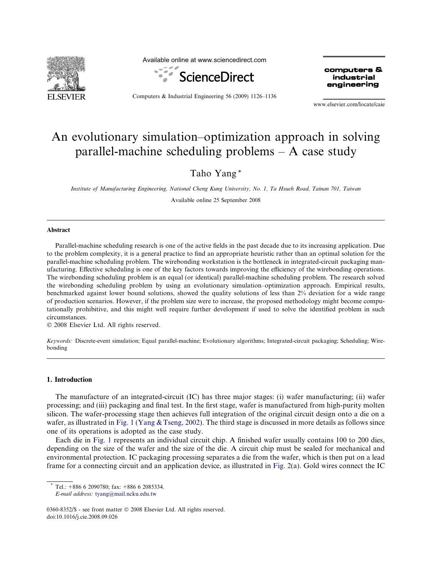

Available online at www.sciencedirect.com



Computers & Industrial Engineering 56 (2009) 1126–1136

computers & industrial engineering

www.elsevier.com/locate/caie

## An evolutionary simulation–optimization approach in solving parallel-machine scheduling problems – A case study

Taho Yang \*

Institute of Manufacturing Engineering, National Cheng Kung University, No. 1, Ta Hsueh Road, Tainan 701, Taiwan

Available online 25 September 2008

## Abstract

Parallel-machine scheduling research is one of the active fields in the past decade due to its increasing application. Due to the problem complexity, it is a general practice to find an appropriate heuristic rather than an optimal solution for the parallel-machine scheduling problem. The wirebonding workstation is the bottleneck in integrated-circuit packaging manufacturing. Effective scheduling is one of the key factors towards improving the efficiency of the wirebonding operations. The wirebonding scheduling problem is an equal (or identical) parallel-machine scheduling problem. The research solved the wirebonding scheduling problem by using an evolutionary simulation–optimization approach. Empirical results, benchmarked against lower bound solutions, showed the quality solutions of less than 2% deviation for a wide range of production scenarios. However, if the problem size were to increase, the proposed methodology might become computationally prohibitive, and this might well require further development if used to solve the identified problem in such circumstances.

 $© 2008 Elsevier Ltd. All rights reserved.$ 

Keywords: Discrete-event simulation; Equal parallel-machine; Evolutionary algorithms; Integrated-circuit packaging; Scheduling; Wirebonding

## 1. Introduction

The manufacture of an integrated-circuit (IC) has three major stages: (i) wafer manufacturing; (ii) wafer processing; and (iii) packaging and final test. In the first stage, wafer is manufactured from high-purity molten silicon. The wafer-processing stage then achieves full integration of the original circuit design onto a die on a wafer, as illustrated in [Fig. 1](#page-1-0) [\(Yang & Tseng, 2002\)](#page--1-0). The third stage is discussed in more details as follows since one of its operations is adopted as the case study.

Each die in [Fig. 1](#page-1-0) represents an individual circuit chip. A finished wafer usually contains 100 to 200 dies, depending on the size of the wafer and the size of the die. A circuit chip must be sealed for mechanical and environmental protection. IC packaging processing separates a die from the wafer, which is then put on a lead frame for a connecting circuit and an application device, as illustrated in [Fig. 2](#page-1-0)(a). Gold wires connect the IC

Tel.: +886 6 2090780; fax: +886 6 2085334.

E-mail address: [tyang@mail.ncku.edu.tw](mailto:tyang@mail.ncku.edu.tw)

<sup>0360-8352/\$ -</sup> see front matter © 2008 Elsevier Ltd. All rights reserved. doi:10.1016/j.cie.2008.09.026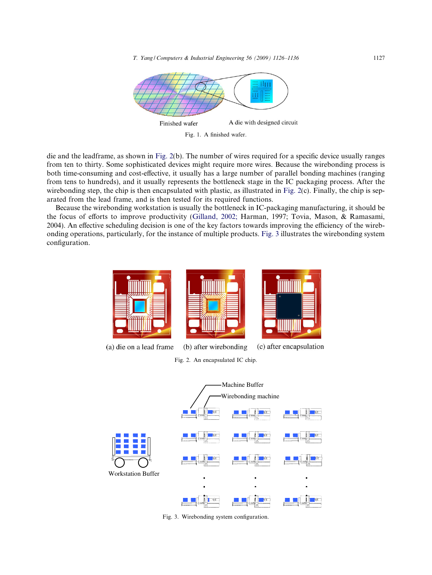T. Yang / Computers & Industrial Engineering  $56$  (2009) 1126–1136 1127

<span id="page-1-0"></span>

die and the leadframe, as shown in Fig. 2(b). The number of wires required for a specific device usually ranges from ten to thirty. Some sophisticated devices might require more wires. Because the wirebonding process is both time-consuming and cost-effective, it usually has a large number of parallel bonding machines (ranging from tens to hundreds), and it usually represents the bottleneck stage in the IC packaging process. After the wirebonding step, the chip is then encapsulated with plastic, as illustrated in Fig. 2(c). Finally, the chip is separated from the lead frame, and is then tested for its required functions.

Because the wirebonding workstation is usually the bottleneck in IC-packaging manufacturing, it should be the focus of efforts to improve productivity [\(Gilland, 2002;](#page--1-0) Harman, 1997; Tovia, Mason, & Ramasami, 2004). An effective scheduling decision is one of the key factors towards improving the efficiency of the wirebonding operations, particularly, for the instance of multiple products. Fig. 3 illustrates the wirebonding system configuration.



(c) after encapsulation (a) die on a lead frame (b) after wirebonding Fig. 2. An encapsulated IC chip.



Fig. 3. Wirebonding system configuration.